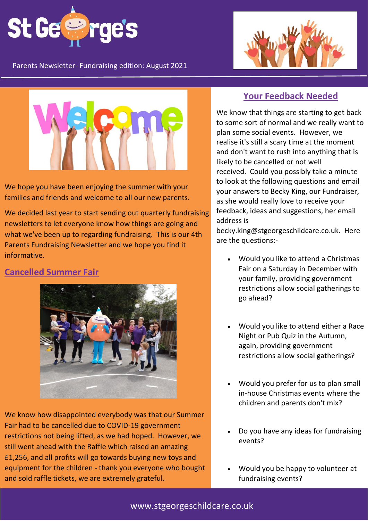

Parents Newsletter- Fundraising edition: August 2021





We hope you have been enjoying the summer with your families and friends and welcome to all our new parents.

We decided last year to start sending out quarterly fundraising newsletters to let everyone know how things are going and what we've been up to regarding fundraising. This is our 4th Parents Fundraising Newsletter and we hope you find it informative.

#### **Cancelled Summer Fair**



We know how disappointed everybody was that our Summer Fair had to be cancelled due to COVID-19 government restrictions not being lifted, as we had hoped. However, we still went ahead with the Raffle which raised an amazing £1,256, and all profits will go towards buying new toys and equipment for the children - thank you everyone who bought and sold raffle tickets, we are extremely grateful.

## **Your Feedback Needed**

We know that things are starting to get back to some sort of normal and we really want to plan some social events. However, we realise it's still a scary time at the moment and don't want to rush into anything that is likely to be cancelled or not well received. Could you possibly take a minute to look at the following questions and email your answers to Becky King, our Fundraiser, as she would really love to receive your feedback, ideas and suggestions, her email address is

becky.king@stgeorgeschildcare.co.uk. Here are the questions:-

- Would you like to attend a Christmas Fair on a Saturday in December with your family, providing government restrictions allow social gatherings to go ahead?
- Would you like to attend either a Race Night or Pub Quiz in the Autumn, again, providing government restrictions allow social gatherings?
- Would you prefer for us to plan small in-house Christmas events where the children and parents don't mix?
- Do you have any ideas for fundraising events?
- Would you be happy to volunteer at fundraising events?

### www.stgeorgeschildcare.co.uk